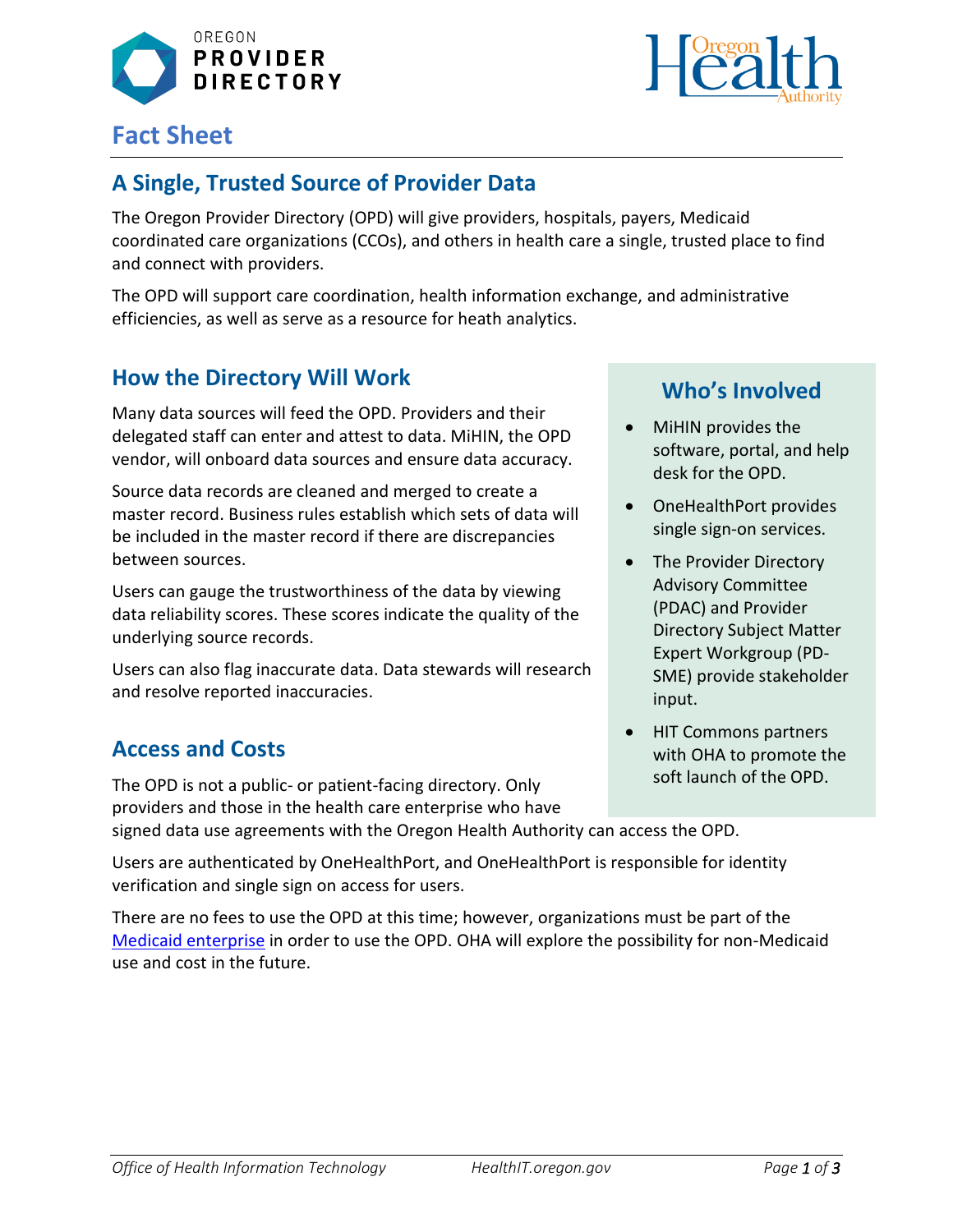



# **Fact Sheet**

# **A Single, Trusted Source of Provider Data**

The Oregon Provider Directory (OPD) will give providers, hospitals, payers, Medicaid coordinated care organizations (CCOs), and others in health care a single, trusted place to find and connect with providers.

The OPD will support care coordination, health information exchange, and administrative efficiencies, as well as serve as a resource for heath analytics.

## **How the Directory Will Work**

Many data sources will feed the OPD. Providers and their delegated staff can enter and attest to data. MiHIN, the OPD vendor, will onboard data sources and ensure data accuracy.

Source data records are cleaned and merged to create a master record. Business rules establish which sets of data will be included in the master record if there are discrepancies between sources.

Users can gauge the trustworthiness of the data by viewing data reliability scores. These scores indicate the quality of the underlying source records.

Users can also flag inaccurate data. Data stewards will research and resolve reported inaccuracies.

# **Access and Costs**

The OPD is not a public- or patient-facing directory. Only providers and those in the health care enterprise who have

#### signed data use agreements with the Oregon Health Authority can access the OPD.

Users are authenticated by OneHealthPort, and OneHealthPort is responsible for identity verification and single sign on access for users.

There are no fees to use the OPD at this time; however, organizations must be part of the [Medicaid enterprise](https://www.oregon.gov/oha/HPA/OHIT/Pages/PD-Onboarding.aspx) in order to use the OPD. OHA will explore the possibility for non-Medicaid use and cost in the future.

## **Who's Involved**

- MiHIN provides the software, portal, and help desk for the OPD.
- OneHealthPort provides single sign-on services.
- The Provider Directory Advisory Committee (PDAC) and Provider Directory Subject Matter Expert Workgroup (PD-SME) provide stakeholder input.
- [HIT Commons](http://www.orhealthleadershipcouncil.org/hit-commons/) partners with OHA to promote the soft launch of the OPD.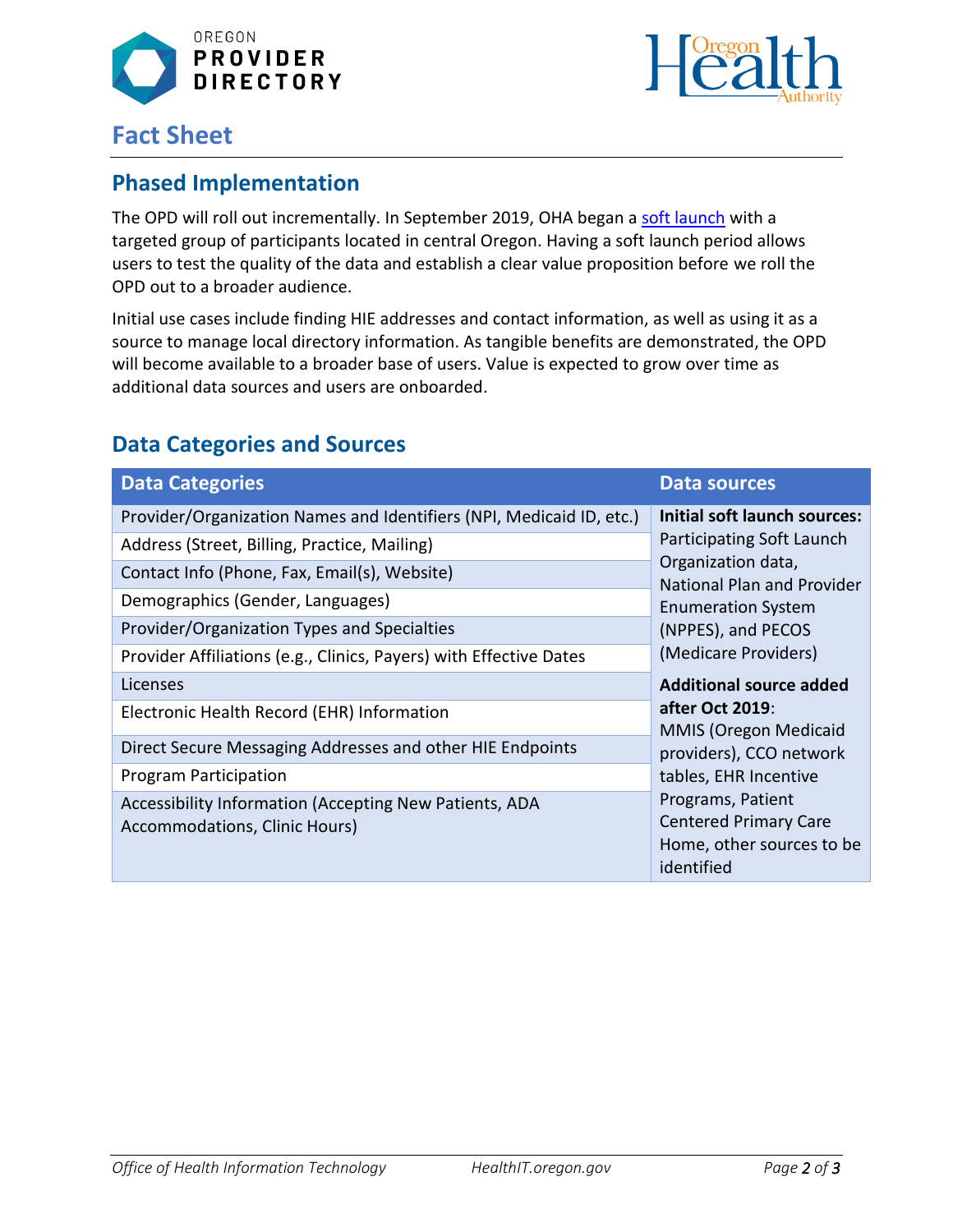



# **Fact Sheet**

### **Phased Implementation**

The OPD will roll out incrementally. In September 2019, OHA began a [soft launch](https://www.oregon.gov/oha/HPA/OHIT/Documents/OPD_SoftLaunch_Final.pdf) with a targeted group of participants located in central Oregon. Having a soft launch period allows users to test the quality of the data and establish a clear value proposition before we roll the OPD out to a broader audience.

Initial use cases include finding HIE addresses and contact information, as well as using it as a source to manage local directory information. As tangible benefits are demonstrated, the OPD will become available to a broader base of users. Value is expected to grow over time as additional data sources and users are onboarded.

### **Data Categories and Sources**

| <b>Data Categories</b>                                                                  | <b>Data sources</b>                                                                                                                                                                                                                   |
|-----------------------------------------------------------------------------------------|---------------------------------------------------------------------------------------------------------------------------------------------------------------------------------------------------------------------------------------|
| Provider/Organization Names and Identifiers (NPI, Medicaid ID, etc.)                    | <b>Initial soft launch sources:</b><br>Participating Soft Launch<br>Organization data,<br>National Plan and Provider<br><b>Enumeration System</b><br>(NPPES), and PECOS                                                               |
| Address (Street, Billing, Practice, Mailing)                                            |                                                                                                                                                                                                                                       |
| Contact Info (Phone, Fax, Email(s), Website)                                            |                                                                                                                                                                                                                                       |
| Demographics (Gender, Languages)                                                        |                                                                                                                                                                                                                                       |
| Provider/Organization Types and Specialties                                             |                                                                                                                                                                                                                                       |
| Provider Affiliations (e.g., Clinics, Payers) with Effective Dates                      | (Medicare Providers)                                                                                                                                                                                                                  |
| Licenses                                                                                | <b>Additional source added</b><br>after Oct 2019:<br><b>MMIS (Oregon Medicaid</b><br>providers), CCO network<br>tables, EHR Incentive<br>Programs, Patient<br><b>Centered Primary Care</b><br>Home, other sources to be<br>identified |
| Electronic Health Record (EHR) Information                                              |                                                                                                                                                                                                                                       |
| Direct Secure Messaging Addresses and other HIE Endpoints                               |                                                                                                                                                                                                                                       |
| Program Participation                                                                   |                                                                                                                                                                                                                                       |
| Accessibility Information (Accepting New Patients, ADA<br>Accommodations, Clinic Hours) |                                                                                                                                                                                                                                       |